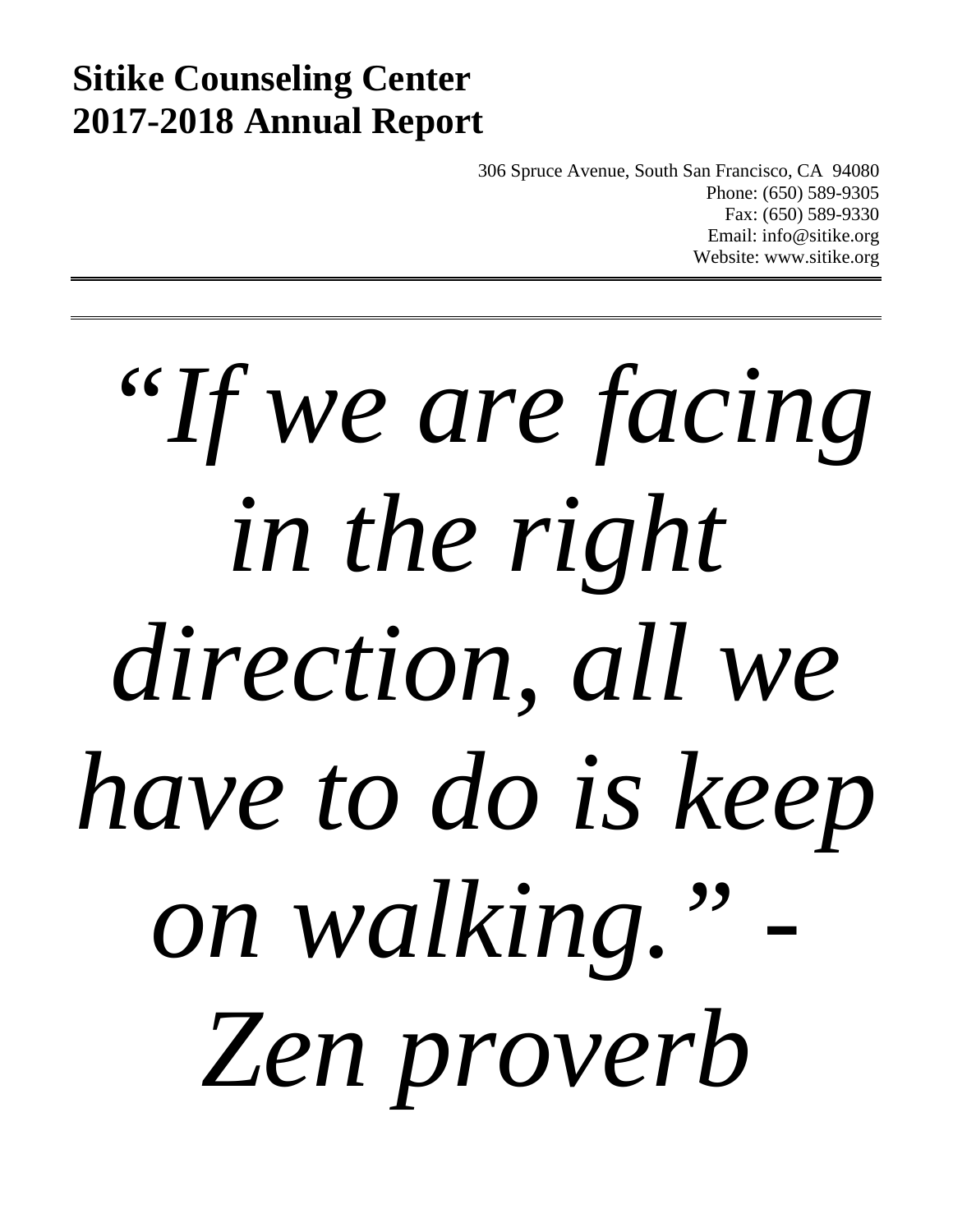# **Sitike Counseling Center 2017-2018 Annual Report**

306 Spruce Avenue, South San Francisco, CA 94080 Phone: (650) 589-9305 Fax: (650) 589-9330 Email: info@sitike.org Website: www.sitike.org

*"If we are facing in the right direction, all we have to do is keep*  on walking. *Zen proverb*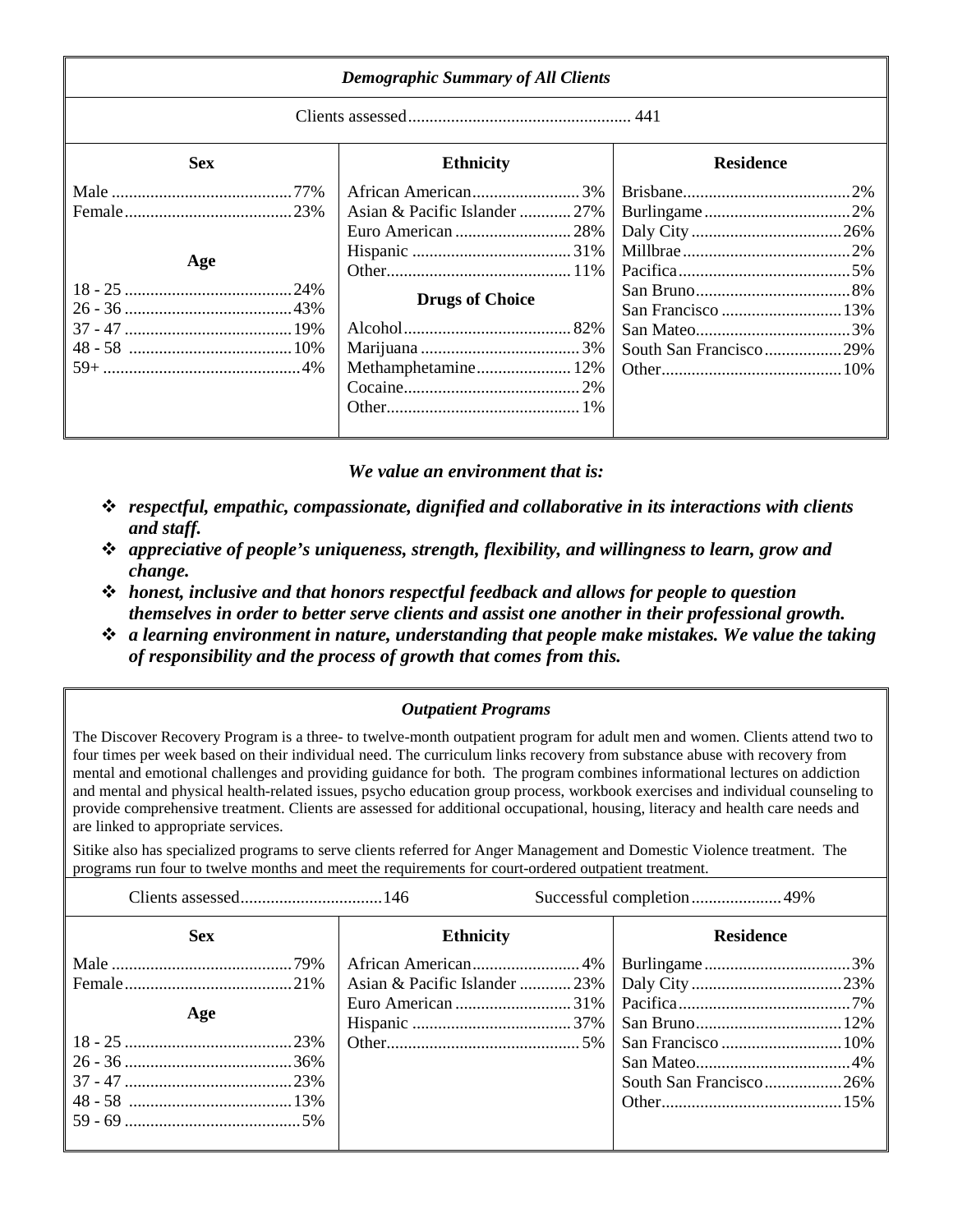| <b>Demographic Summary of All Clients</b> |                                                                                |                        |  |
|-------------------------------------------|--------------------------------------------------------------------------------|------------------------|--|
|                                           |                                                                                |                        |  |
| <b>Sex</b>                                | <b>Ethnicity</b>                                                               | <b>Residence</b>       |  |
| Age                                       | Asian & Pacific Islander  27%<br><b>Drugs of Choice</b><br>Methamphetamine 12% | South San Francisco29% |  |

*We value an environment that is:*

- *respectful, empathic, compassionate, dignified and collaborative in its interactions with clients and staff.*
- *appreciative of people's uniqueness, strength, flexibility, and willingness to learn, grow and change.*
- *honest, inclusive and that honors respectful feedback and allows for people to question themselves in order to better serve clients and assist one another in their professional growth.*
- *a learning environment in nature, understanding that people make mistakes. We value the taking of responsibility and the process of growth that comes from this.*

*Outpatient Programs*

The Discover Recovery Program is a three- to twelve-month outpatient program for adult men and women. Clients attend two to four times per week based on their individual need. The curriculum links recovery from substance abuse with recovery from mental and emotional challenges and providing guidance for both. The program combines informational lectures on addiction and mental and physical health-related issues, psycho education group process, workbook exercises and individual counseling to provide comprehensive treatment. Clients are assessed for additional occupational, housing, literacy and health care needs and are linked to appropriate services.

Sitike also has specialized programs to serve clients referred for Anger Management and Domestic Violence treatment. The programs run four to twelve months and meet the requirements for court-ordered outpatient treatment.

| <b>Sex</b> | <b>Ethnicity</b> | <b>Residence</b>       |
|------------|------------------|------------------------|
|            |                  |                        |
|            |                  |                        |
| Age        |                  |                        |
|            |                  |                        |
|            |                  |                        |
|            |                  |                        |
|            |                  | South San Francisco26% |
|            |                  |                        |
|            |                  |                        |
|            |                  |                        |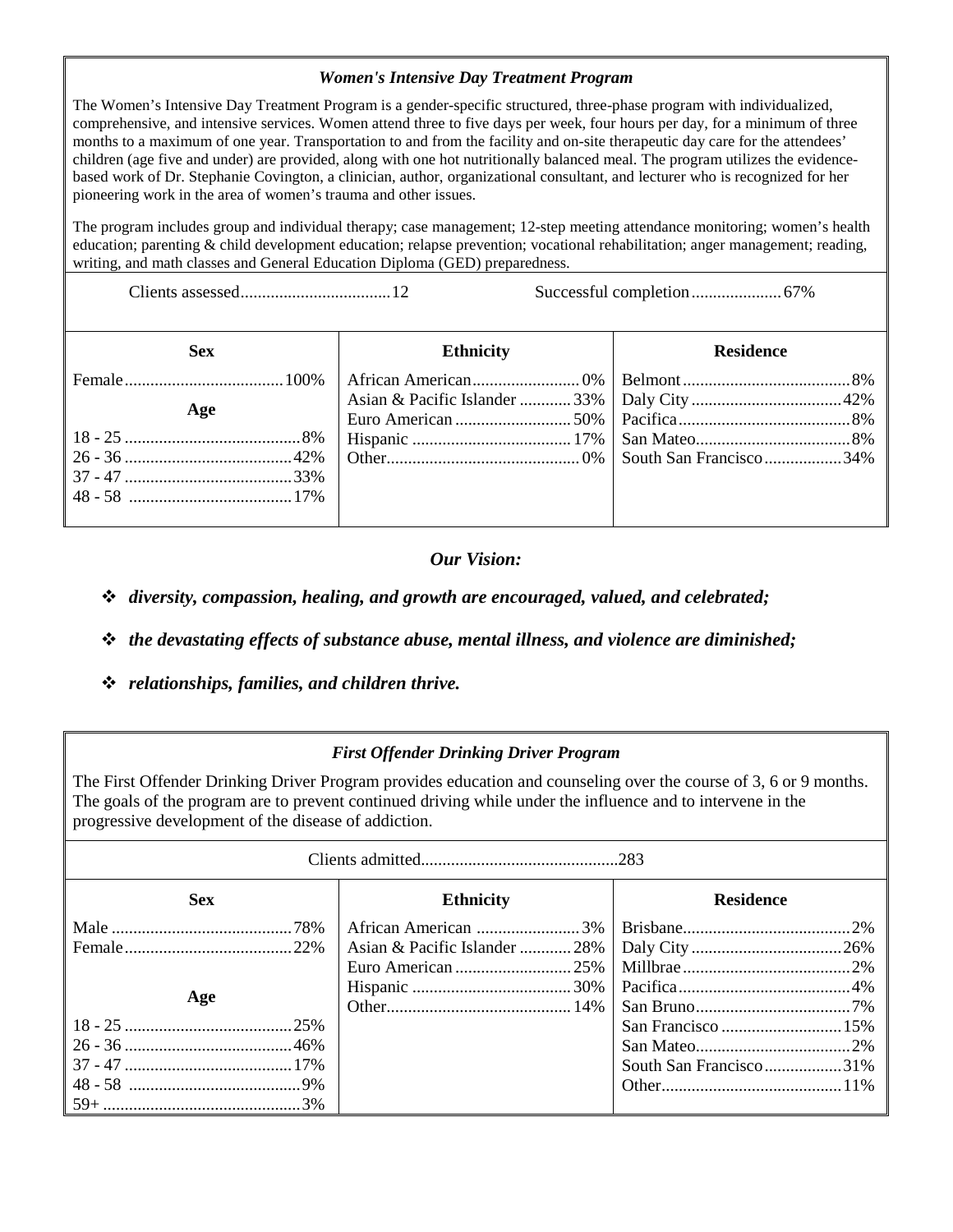## *Women's Intensive Day Treatment Program*

The Women's Intensive Day Treatment Program is a gender-specific structured, three-phase program with individualized, comprehensive, and intensive services. Women attend three to five days per week, four hours per day, for a minimum of three months to a maximum of one year. Transportation to and from the facility and on-site therapeutic day care for the attendees' children (age five and under) are provided, along with one hot nutritionally balanced meal. The program utilizes the evidencebased work of Dr. Stephanie Covington, a clinician, author, organizational consultant, and lecturer who is recognized for her pioneering work in the area of women's trauma and other issues.

The program includes group and individual therapy; case management; 12-step meeting attendance monitoring; women's health education; parenting & child development education; relapse prevention; vocational rehabilitation; anger management; reading, writing, and math classes and General Education Diploma (GED) preparedness.

Clients assessed...................................12 Successful completion.....................67%

| <b>Sex</b> | <b>Ethnicity</b> | <b>Residence</b> |
|------------|------------------|------------------|
|            |                  |                  |
| Age        |                  |                  |
|            |                  |                  |
|            |                  |                  |
|            |                  |                  |
|            |                  |                  |
|            |                  |                  |

# *Our Vision:*

*diversity, compassion, healing, and growth are encouraged, valued, and celebrated;*

- *the devastating effects of substance abuse, mental illness, and violence are diminished;*
- *relationships, families, and children thrive.*

# *First Offender Drinking Driver Program*

The First Offender Drinking Driver Program provides education and counseling over the course of 3, 6 or 9 months. The goals of the program are to prevent continued driving while under the influence and to intervene in the progressive development of the disease of addiction.

| <b>Sex</b> | <b>Ethnicity</b> | <b>Residence</b>       |  |
|------------|------------------|------------------------|--|
|            |                  |                        |  |
|            |                  |                        |  |
|            |                  |                        |  |
| Age        |                  |                        |  |
|            |                  |                        |  |
|            |                  |                        |  |
|            |                  |                        |  |
|            |                  | South San Francisco31% |  |
|            |                  |                        |  |
|            |                  |                        |  |